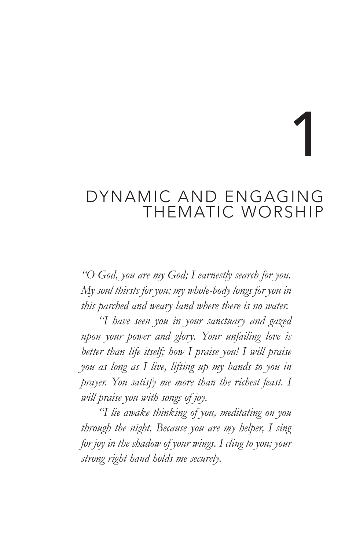1

# DYNAMIC AND ENGAGING THEMATIC WORSHIP

*"O God, you are my God; I earnestly search for you. My soul thirsts for you; my whole-body longs for you in this parched and weary land where there is no water.* 

*"I have seen you in your sanctuary and gazed upon your power and glory. Your unfailing love is better than life itself; how I praise you! I will praise you as long as I live, lifting up my hands to you in prayer. You satisfy me more than the richest feast. I will praise you with songs of joy.* 

*"I lie awake thinking of you, meditating on you through the night. Because you are my helper, I sing for joy in the shadow of your wings. I cling to you; your strong right hand holds me securely.*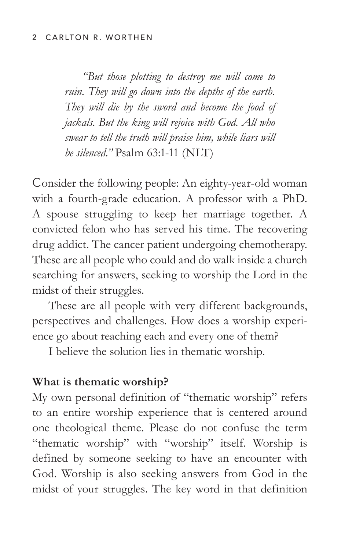#### 2 CARLTON R. WORTHEN

*"But those plotting to destroy me will come to ruin. They will go down into the depths of the earth. They will die by the sword and become the food of jackals. But the king will rejoice with God. All who swear to tell the truth will praise him, while liars will be silenced."* Psalm 63:1-11 (NLT)

Consider the following people: An eighty-year-old woman with a fourth-grade education. A professor with a PhD. A spouse struggling to keep her marriage together. A convicted felon who has served his time. The recovering drug addict. The cancer patient undergoing chemotherapy. These are all people who could and do walk inside a church searching for answers, seeking to worship the Lord in the midst of their struggles.

These are all people with very different backgrounds, perspectives and challenges. How does a worship experience go about reaching each and every one of them?

I believe the solution lies in thematic worship.

### **What is thematic worship?**

My own personal definition of "thematic worship" refers to an entire worship experience that is centered around one theological theme. Please do not confuse the term "thematic worship" with "worship" itself. Worship is defined by someone seeking to have an encounter with God. Worship is also seeking answers from God in the midst of your struggles. The key word in that definition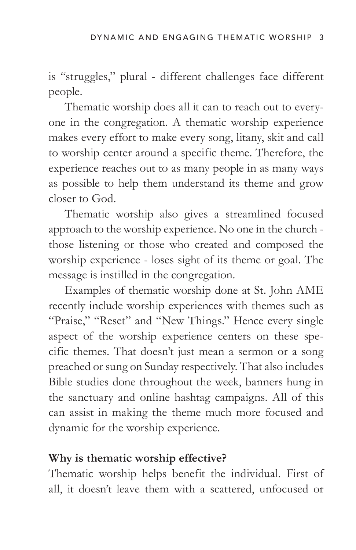is "struggles," plural - different challenges face different people.

Thematic worship does all it can to reach out to everyone in the congregation. A thematic worship experience makes every effort to make every song, litany, skit and call to worship center around a specific theme. Therefore, the experience reaches out to as many people in as many ways as possible to help them understand its theme and grow closer to God.

Thematic worship also gives a streamlined focused approach to the worship experience. No one in the church those listening or those who created and composed the worship experience - loses sight of its theme or goal. The message is instilled in the congregation.

Examples of thematic worship done at St. John AME recently include worship experiences with themes such as "Praise," "Reset" and "New Things." Hence every single aspect of the worship experience centers on these specific themes. That doesn't just mean a sermon or a song preached or sung on Sunday respectively. That also includes Bible studies done throughout the week, banners hung in the sanctuary and online hashtag campaigns. All of this can assist in making the theme much more focused and dynamic for the worship experience.

### **Why is thematic worship effective?**

Thematic worship helps benefit the individual. First of all, it doesn't leave them with a scattered, unfocused or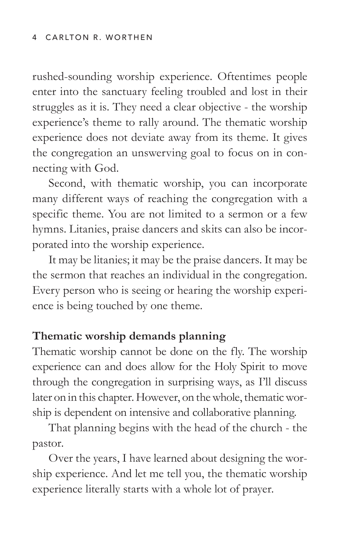#### 4 CARLTON R. WORTHEN

rushed-sounding worship experience. Oftentimes people enter into the sanctuary feeling troubled and lost in their struggles as it is. They need a clear objective - the worship experience's theme to rally around. The thematic worship experience does not deviate away from its theme. It gives the congregation an unswerving goal to focus on in connecting with God.

Second, with thematic worship, you can incorporate many different ways of reaching the congregation with a specific theme. You are not limited to a sermon or a few hymns. Litanies, praise dancers and skits can also be incorporated into the worship experience.

It may be litanies; it may be the praise dancers. It may be the sermon that reaches an individual in the congregation. Every person who is seeing or hearing the worship experience is being touched by one theme.

### **Thematic worship demands planning**

Thematic worship cannot be done on the fly. The worship experience can and does allow for the Holy Spirit to move through the congregation in surprising ways, as I'll discuss later on in this chapter. However, on the whole, thematic worship is dependent on intensive and collaborative planning.

That planning begins with the head of the church - the pastor.

Over the years, I have learned about designing the worship experience. And let me tell you, the thematic worship experience literally starts with a whole lot of prayer.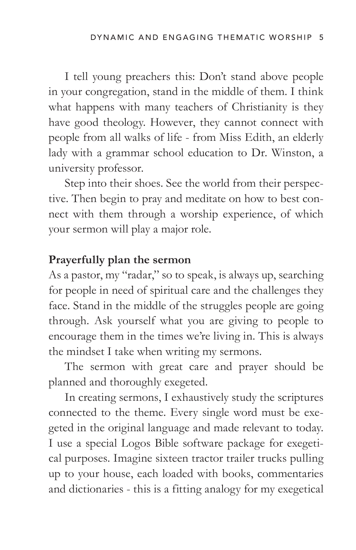I tell young preachers this: Don't stand above people in your congregation, stand in the middle of them. I think what happens with many teachers of Christianity is they have good theology. However, they cannot connect with people from all walks of life - from Miss Edith, an elderly lady with a grammar school education to Dr. Winston, a university professor.

Step into their shoes. See the world from their perspective. Then begin to pray and meditate on how to best connect with them through a worship experience, of which your sermon will play a major role.

### **Prayerfully plan the sermon**

As a pastor, my "radar," so to speak, is always up, searching for people in need of spiritual care and the challenges they face. Stand in the middle of the struggles people are going through. Ask yourself what you are giving to people to encourage them in the times we're living in. This is always the mindset I take when writing my sermons.

The sermon with great care and prayer should be planned and thoroughly exegeted.

In creating sermons, I exhaustively study the scriptures connected to the theme. Every single word must be exegeted in the original language and made relevant to today. I use a special Logos Bible software package for exegetical purposes. Imagine sixteen tractor trailer trucks pulling up to your house, each loaded with books, commentaries and dictionaries - this is a fitting analogy for my exegetical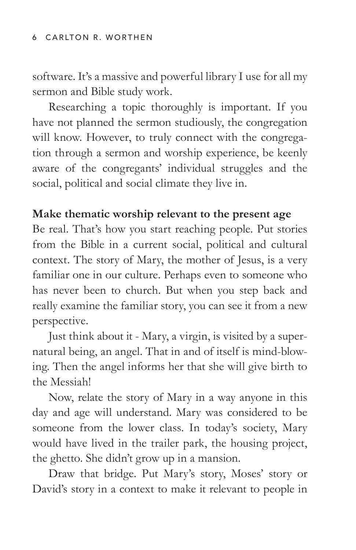software. It's a massive and powerful library I use for all my sermon and Bible study work.

Researching a topic thoroughly is important. If you have not planned the sermon studiously, the congregation will know. However, to truly connect with the congregation through a sermon and worship experience, be keenly aware of the congregants' individual struggles and the social, political and social climate they live in.

## **Make thematic worship relevant to the present age**

Be real. That's how you start reaching people. Put stories from the Bible in a current social, political and cultural context. The story of Mary, the mother of Jesus, is a very familiar one in our culture. Perhaps even to someone who has never been to church. But when you step back and really examine the familiar story, you can see it from a new perspective.

Just think about it - Mary, a virgin, is visited by a supernatural being, an angel. That in and of itself is mind-blowing. Then the angel informs her that she will give birth to the Messiah!

Now, relate the story of Mary in a way anyone in this day and age will understand. Mary was considered to be someone from the lower class. In today's society, Mary would have lived in the trailer park, the housing project, the ghetto. She didn't grow up in a mansion.

Draw that bridge. Put Mary's story, Moses' story or David's story in a context to make it relevant to people in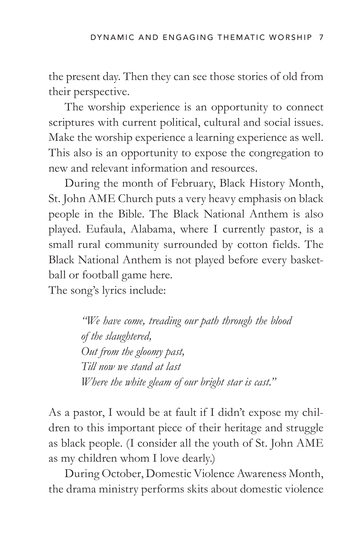the present day. Then they can see those stories of old from their perspective.

The worship experience is an opportunity to connect scriptures with current political, cultural and social issues. Make the worship experience a learning experience as well. This also is an opportunity to expose the congregation to new and relevant information and resources.

During the month of February, Black History Month, St. John AME Church puts a very heavy emphasis on black people in the Bible. The Black National Anthem is also played. Eufaula, Alabama, where I currently pastor, is a small rural community surrounded by cotton fields. The Black National Anthem is not played before every basketball or football game here.

The song's lyrics include:

*"We have come, treading our path through the blood of the slaughtered, Out from the gloomy past, Till now we stand at last Where the white gleam of our bright star is cast."* 

As a pastor, I would be at fault if I didn't expose my children to this important piece of their heritage and struggle as black people. (I consider all the youth of St. John AME as my children whom I love dearly.)

During October, Domestic Violence Awareness Month, the drama ministry performs skits about domestic violence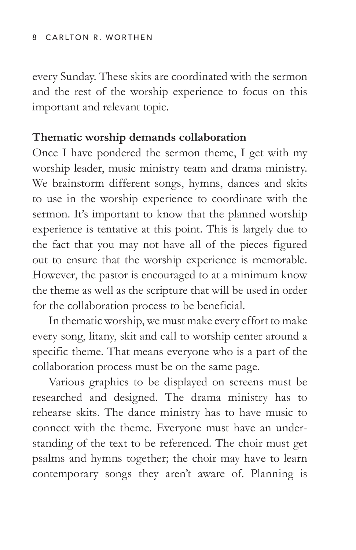every Sunday. These skits are coordinated with the sermon and the rest of the worship experience to focus on this important and relevant topic.

## **Thematic worship demands collaboration**

Once I have pondered the sermon theme, I get with my worship leader, music ministry team and drama ministry. We brainstorm different songs, hymns, dances and skits to use in the worship experience to coordinate with the sermon. It's important to know that the planned worship experience is tentative at this point. This is largely due to the fact that you may not have all of the pieces figured out to ensure that the worship experience is memorable. However, the pastor is encouraged to at a minimum know the theme as well as the scripture that will be used in order for the collaboration process to be beneficial.

In thematic worship, we must make every effort to make every song, litany, skit and call to worship center around a specific theme. That means everyone who is a part of the collaboration process must be on the same page.

Various graphics to be displayed on screens must be researched and designed. The drama ministry has to rehearse skits. The dance ministry has to have music to connect with the theme. Everyone must have an understanding of the text to be referenced. The choir must get psalms and hymns together; the choir may have to learn contemporary songs they aren't aware of. Planning is